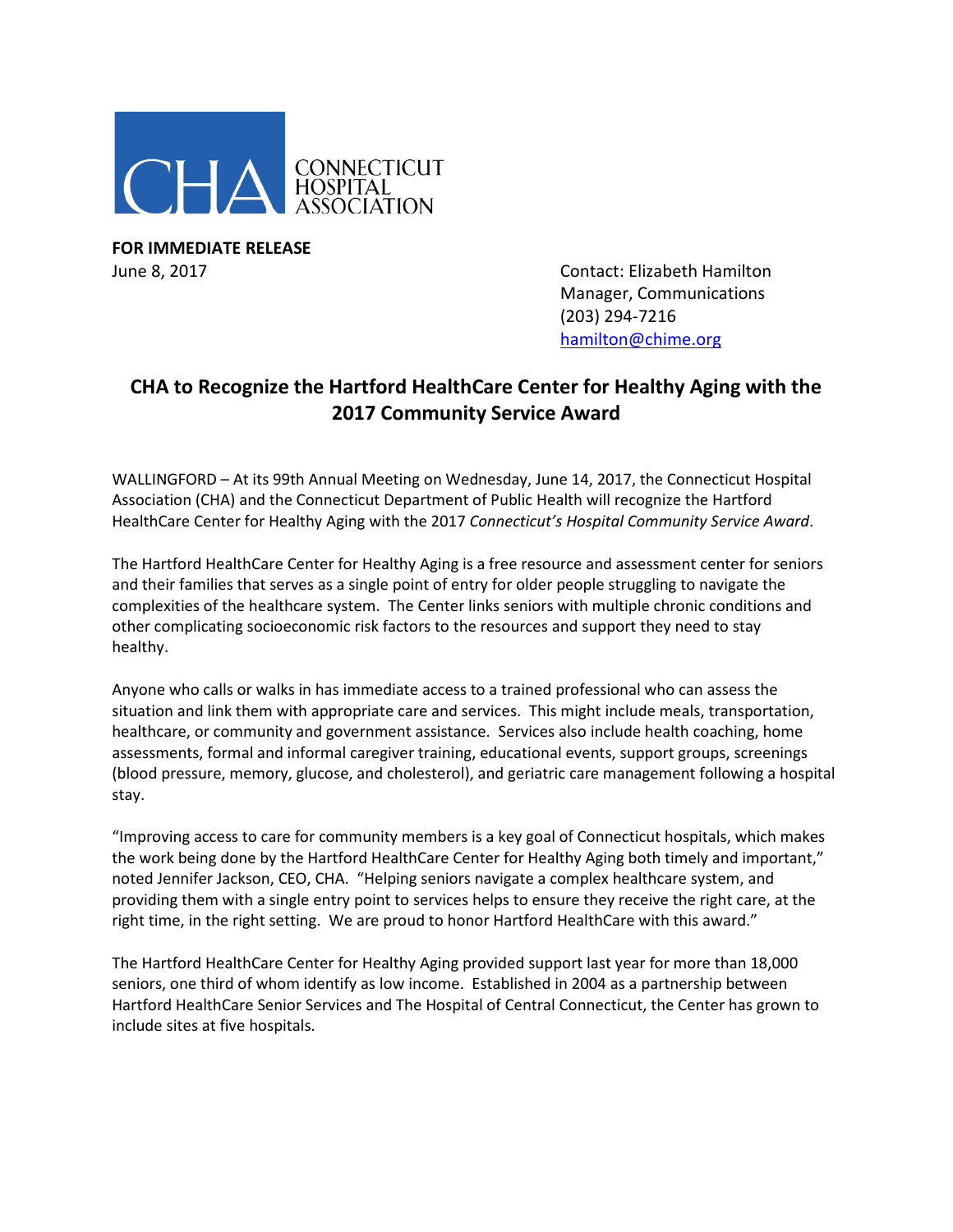

**FOR IMMEDIATE RELEASE**

June 8, 2017 Contact: Elizabeth Hamilton Manager, Communications (203) 294-7216 [hamilton@chime.org](mailto:hamilton@chime.org)

## **CHA to Recognize the Hartford HealthCare Center for Healthy Aging with the 2017 Community Service Award**

WALLINGFORD – At its 99th Annual Meeting on Wednesday, June 14, 2017, the Connecticut Hospital Association (CHA) and the Connecticut Department of Public Health will recognize the Hartford HealthCare Center for Healthy Aging with the 2017 *Connecticut's Hospital Community Service Award*.

The Hartford HealthCare Center for Healthy Aging is a free resource and assessment center for seniors and their families that serves as a single point of entry for older people struggling to navigate the complexities of the healthcare system. The Center links seniors with multiple chronic conditions and other complicating socioeconomic risk factors to the resources and support they need to stay healthy.

Anyone who calls or walks in has immediate access to a trained professional who can assess the situation and link them with appropriate care and services. This might include meals, transportation, healthcare, or community and government assistance. Services also include health coaching, home assessments, formal and informal caregiver training, educational events, support groups, screenings (blood pressure, memory, glucose, and cholesterol), and geriatric care management following a hospital stay.

"Improving access to care for community members is a key goal of Connecticut hospitals, which makes the work being done by the Hartford HealthCare Center for Healthy Aging both timely and important," noted Jennifer Jackson, CEO, CHA. "Helping seniors navigate a complex healthcare system, and providing them with a single entry point to services helps to ensure they receive the right care, at the right time, in the right setting. We are proud to honor Hartford HealthCare with this award."

The Hartford HealthCare Center for Healthy Aging provided support last year for more than 18,000 seniors, one third of whom identify as low income. Established in 2004 as a partnership between Hartford HealthCare Senior Services and The Hospital of Central Connecticut, the Center has grown to include sites at five hospitals.